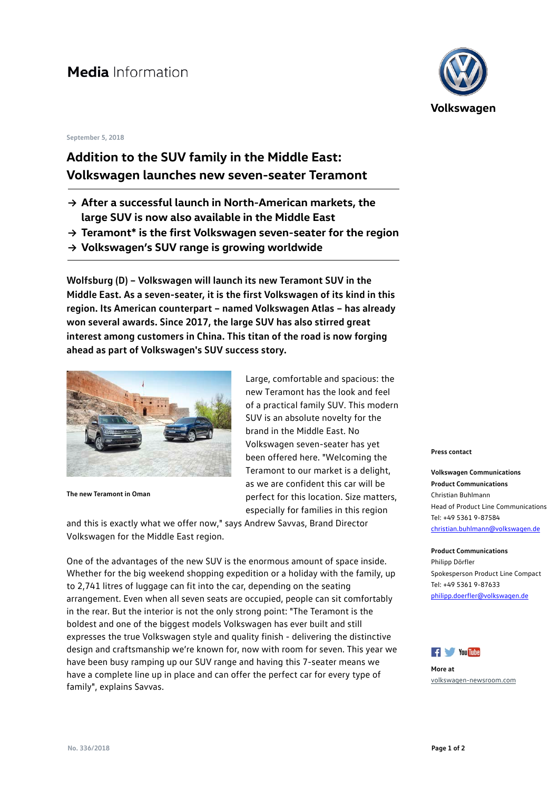## Media Information

### **September 5, 2018**

## **Addition to the SUV family in the Middle East: Volkswagen launches new seven-seater Teramont**

- **→ After a successful launch in North-American markets, the large SUV is now also available in the Middle East**
- **→ Teramont\* is the first Volkswagen seven-seater for the region**
- **→ Volkswagen's SUV range is growing worldwide**

**Wolfsburg (D) – Volkswagen will launch its new Teramont SUV in the Middle East. As a seven-seater, it is the first Volkswagen of its kind in this region. Its American counterpart – named Volkswagen Atlas – has already won several awards. Since 2017, the large SUV has also stirred great interest among customers in China. This titan of the road is now forging ahead as part of Volkswagen's SUV success story.** 



**The new Teramont in Oman**

Large, comfortable and spacious: the new Teramont has the look and feel of a practical family SUV. This modern SUV is an absolute novelty for the brand in the Middle East. No Volkswagen seven-seater has yet been offered here. "Welcoming the Teramont to our market is a delight, as we are confident this car will be perfect for this location. Size matters, especially for families in this region

and this is exactly what we offer now," says Andrew Savvas, Brand Director Volkswagen for the Middle East region.

One of the advantages of the new SUV is the enormous amount of space inside. Whether for the big weekend shopping expedition or a holiday with the family, up to 2,741 litres of luggage can fit into the car, depending on the seating arrangement. Even when all seven seats are occupied, people can sit comfortably in the rear. But the interior is not the only strong point: "The Teramont is the boldest and one of the biggest models Volkswagen has ever built and still expresses the true Volkswagen style and quality finish - delivering the distinctive design and craftsmanship we're known for, now with room for seven. This year we have been busy ramping up our SUV range and having this 7-seater means we have a complete line up in place and can offer the perfect car for every type of family", explains Savvas.



#### **Press contact**

**Volkswagen Communications Product Communications** Christian Buhlmann Head of Product Line Communications Tel: +49 5361 9-87584 [christian.buhlmann@volkswagen.de](mailto:christian.buhlmann@volkswagen.de)

**Product Communications** Philipp Dörfler Spokesperson Product Line Compact Tel: +49 5361 9-87633 [philipp.doerfler@volkswagen.de](mailto:philipp.doerfler@volkswagen.de)



**More at** [volkswagen-newsroom.com](https://www.volkswagen-newsroom.com/)